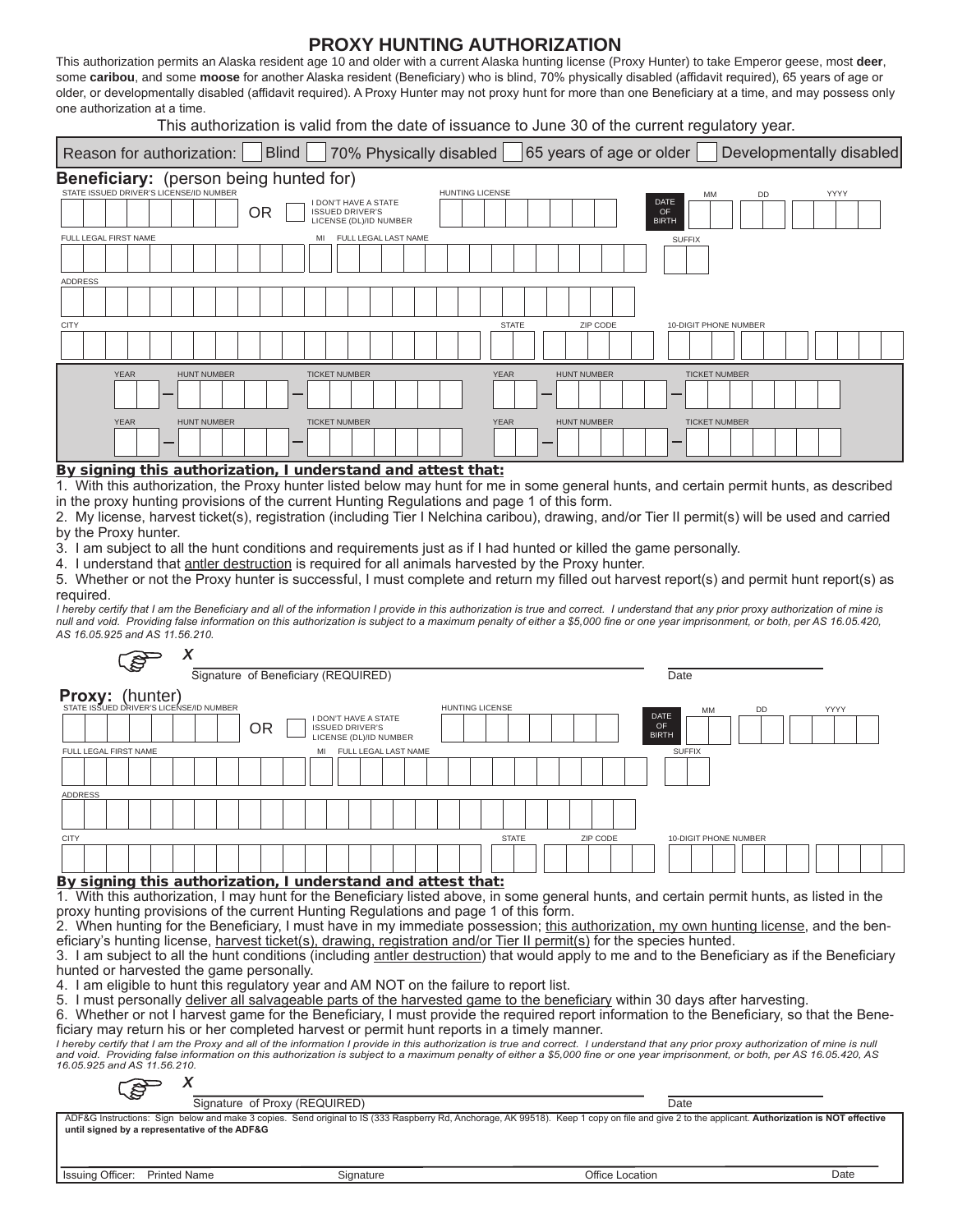## **PROXY HUNTING AUTHORIZATION**

This authorization permits an Alaska resident age 10 and older with a current Alaska hunting license (Proxy Hunter) to take Emperor geese, most **deer**, some **caribou**, and some **moose** for another Alaska resident (Beneficiary) who is blind, 70% physically disabled (affidavit required), 65 years of age or older, or developmentally disabled (affidavit required). A Proxy Hunter may not proxy hunt for more than one Beneficiary at a time, and may possess only one authorization at a time.

This authorization is valid from the date of issuance to June 30 of the current regulatory year.

| 70% Physically disabled   65 years of age or older<br><b>Blind</b><br>Developmentally disabled<br>Reason for authorization:                                                                                                              |                                                                                                                             |  |  |  |  |  |  |  |  |  |  |  |  |
|------------------------------------------------------------------------------------------------------------------------------------------------------------------------------------------------------------------------------------------|-----------------------------------------------------------------------------------------------------------------------------|--|--|--|--|--|--|--|--|--|--|--|--|
| Beneficiary: (person being hunted for)<br>STATE ISSUED DRIVER'S LICENSE/ID NUMBER<br><b>I DON'T HAVE A STATE</b><br><b>OR</b><br><b>ISSUED DRIVER'S</b><br>LICENSE (DL)/ID NUMBER<br>FULL LEGAL FIRST NAME<br>FULL LEGAL LAST NAME<br>MI | <b>HUNTING LICENSE</b><br>YYYY<br><b>DD</b><br>МM<br><b>DATE</b><br>OF<br><b>BIRTH</b><br><b>SUFFIX</b>                     |  |  |  |  |  |  |  |  |  |  |  |  |
| <b>ADDRESS</b><br><b>CITY</b>                                                                                                                                                                                                            | <b>STATE</b><br>ZIP CODE<br><b>10-DIGIT PHONE NUMBER</b>                                                                    |  |  |  |  |  |  |  |  |  |  |  |  |
| <b>YEAR</b><br><b>HUNT NUMBER</b><br><b>TICKET NUMBER</b><br><b>YEAR</b><br><b>HUNT NUMBER</b><br><b>TICKET NUMBER</b><br>$- - -$<br>$ -$<br>.<br>.                                                                                      | <b>YEAR</b><br><b>HUNT NUMBER</b><br><b>TICKET NUMBER</b><br><b>YEAR</b><br><b>HUNT NUMBER</b><br><b>TICKET NUMBER</b><br>. |  |  |  |  |  |  |  |  |  |  |  |  |

#### By signing this authorization, I understand and attest that:

*X*

1. With this authorization, the Proxy hunter listed below may hunt for me in some general hunts, and certain permit hunts, as described in the proxy hunting provisions of the current Hunting Regulations and page 1 of this form.

2. My license, harvest ticket(s), registration (including Tier I Nelchina caribou), drawing, and/or Tier II permit(s) will be used and carried by the Proxy hunter.

3. I am subject to all the hunt conditions and requirements just as if I had hunted or killed the game personally.

4. I understand that antler destruction is required for all animals harvested by the Proxy hunter.

5. Whether or not the Proxy hunter is successful, I must complete and return my filled out harvest report(s) and permit hunt report(s) as required.

*I hereby certify that I am the Beneficiary and all of the information I provide in this authorization is true and correct. I understand that any prior proxy authorization of mine is null and void. Providing false information on this authorization is subject to a maximum penalty of either a \$5,000 fine or one year imprisonment, or both, per AS 16.05.420, AS 16.05.925 and AS 11.56.210.*

|                                                                                                                                                                                                             | - లో                                                          | $\lambda$                           |  |  |  |    |                    |                      |  |                        |      |              |  |      |          |  |             |                       |                    |  |     |  |      |  |  |  |
|-------------------------------------------------------------------------------------------------------------------------------------------------------------------------------------------------------------|---------------------------------------------------------------|-------------------------------------|--|--|--|----|--------------------|----------------------|--|------------------------|------|--------------|--|------|----------|--|-------------|-----------------------|--------------------|--|-----|--|------|--|--|--|
|                                                                                                                                                                                                             |                                                               | Signature of Beneficiary (REQUIRED) |  |  |  |    |                    |                      |  |                        |      |              |  | Date |          |  |             |                       |                    |  |     |  |      |  |  |  |
| <b>Proxy:</b> (hunter)<br>STATE ISSUED DRIVER'S LICENSE/ID NUMBER                                                                                                                                           |                                                               |                                     |  |  |  |    |                    |                      |  |                        |      |              |  |      |          |  |             |                       |                    |  |     |  |      |  |  |  |
|                                                                                                                                                                                                             |                                                               |                                     |  |  |  |    | DON'T HAVE A STATE |                      |  | <b>HUNTING LICENSE</b> |      |              |  |      |          |  | <b>DATE</b> |                       | <b>MM</b>          |  | DD. |  | YYYY |  |  |  |
|                                                                                                                                                                                                             | <b>OR</b><br><b>ISSUED DRIVER'S</b><br>LICENSE (DL)/ID NUMBER |                                     |  |  |  |    |                    |                      |  |                        |      |              |  |      |          |  |             |                       | OF<br><b>BIRTH</b> |  |     |  |      |  |  |  |
| FULL LEGAL FIRST NAME                                                                                                                                                                                       |                                                               |                                     |  |  |  | MI |                    | FULL LEGAL LAST NAME |  |                        |      |              |  |      |          |  |             | <b>SUFFIX</b>         |                    |  |     |  |      |  |  |  |
|                                                                                                                                                                                                             |                                                               |                                     |  |  |  |    |                    |                      |  |                        |      |              |  |      |          |  |             |                       |                    |  |     |  |      |  |  |  |
| <b>ADDRESS</b>                                                                                                                                                                                              |                                                               |                                     |  |  |  |    |                    |                      |  |                        |      |              |  |      |          |  |             |                       |                    |  |     |  |      |  |  |  |
|                                                                                                                                                                                                             |                                                               |                                     |  |  |  |    |                    |                      |  |                        |      |              |  |      |          |  |             |                       |                    |  |     |  |      |  |  |  |
| <b>CITY</b>                                                                                                                                                                                                 |                                                               |                                     |  |  |  |    |                    |                      |  |                        |      | <b>STATE</b> |  |      | ZIP CODE |  |             | 10-DIGIT PHONE NUMBER |                    |  |     |  |      |  |  |  |
|                                                                                                                                                                                                             |                                                               |                                     |  |  |  |    |                    |                      |  |                        |      |              |  |      |          |  |             |                       |                    |  |     |  |      |  |  |  |
| By signing this authorization, I understand and attest that:                                                                                                                                                |                                                               |                                     |  |  |  |    |                    |                      |  |                        |      |              |  |      |          |  |             |                       |                    |  |     |  |      |  |  |  |
| 1. With this authorization, I may hunt for the Beneficiary listed above, in some general hunts, and certain permit hunts, as listed in the                                                                  |                                                               |                                     |  |  |  |    |                    |                      |  |                        |      |              |  |      |          |  |             |                       |                    |  |     |  |      |  |  |  |
| proxy hunting provisions of the current Hunting Regulations and page 1 of this form.                                                                                                                        |                                                               |                                     |  |  |  |    |                    |                      |  |                        |      |              |  |      |          |  |             |                       |                    |  |     |  |      |  |  |  |
| 2. When hunting for the Beneficiary, I must have in my immediate possession; this authorization, my own hunting license, and the ben-                                                                       |                                                               |                                     |  |  |  |    |                    |                      |  |                        |      |              |  |      |          |  |             |                       |                    |  |     |  |      |  |  |  |
| eficiary's hunting license, harvest ticket(s), drawing, registration and/or Tier II permit(s) for the species hunted.                                                                                       |                                                               |                                     |  |  |  |    |                    |                      |  |                        |      |              |  |      |          |  |             |                       |                    |  |     |  |      |  |  |  |
| 3. I am subject to all the hunt conditions (including antler destruction) that would apply to me and to the Beneficiary as if the Beneficiary                                                               |                                                               |                                     |  |  |  |    |                    |                      |  |                        |      |              |  |      |          |  |             |                       |                    |  |     |  |      |  |  |  |
| hunted or harvested the game personally.                                                                                                                                                                    |                                                               |                                     |  |  |  |    |                    |                      |  |                        |      |              |  |      |          |  |             |                       |                    |  |     |  |      |  |  |  |
| 4. I am eligible to hunt this regulatory year and AM NOT on the failure to report list.                                                                                                                     |                                                               |                                     |  |  |  |    |                    |                      |  |                        |      |              |  |      |          |  |             |                       |                    |  |     |  |      |  |  |  |
| 5. I must personally deliver all salvageable parts of the harvested game to the beneficiary within 30 days after harvesting.                                                                                |                                                               |                                     |  |  |  |    |                    |                      |  |                        |      |              |  |      |          |  |             |                       |                    |  |     |  |      |  |  |  |
| 6. Whether or not I harvest game for the Beneficiary, I must provide the required report information to the Beneficiary, so that the Bene-                                                                  |                                                               |                                     |  |  |  |    |                    |                      |  |                        |      |              |  |      |          |  |             |                       |                    |  |     |  |      |  |  |  |
| ficiary may return his or her completed harvest or permit hunt reports in a timely manner.                                                                                                                  |                                                               |                                     |  |  |  |    |                    |                      |  |                        |      |              |  |      |          |  |             |                       |                    |  |     |  |      |  |  |  |
| I hereby certify that I am the Proxy and all of the information I provide in this authorization is true and correct. I understand that any prior proxy authorization of mine is null                        |                                                               |                                     |  |  |  |    |                    |                      |  |                        |      |              |  |      |          |  |             |                       |                    |  |     |  |      |  |  |  |
| and void. Providing false information on this authorization is subject to a maximum penalty of either a \$5,000 fine or one year imprisonment, or both, per AS 16.05.420, AS<br>16.05.925 and AS 11.56.210. |                                                               |                                     |  |  |  |    |                    |                      |  |                        |      |              |  |      |          |  |             |                       |                    |  |     |  |      |  |  |  |
|                                                                                                                                                                                                             |                                                               |                                     |  |  |  |    |                    |                      |  |                        |      |              |  |      |          |  |             |                       |                    |  |     |  |      |  |  |  |
| Signature of Proxy (REQUIRED)                                                                                                                                                                               |                                                               |                                     |  |  |  |    |                    |                      |  |                        | Date |              |  |      |          |  |             |                       |                    |  |     |  |      |  |  |  |

ADF&G Instructions: Sign below and make 3 copies. Send original to IS (333 Raspberry Rd, Anchorage, AK 99518). Keep 1 copy on file and give 2 to the applicant. **Authorization is NOT effective until signed by a representative of the ADF&G**